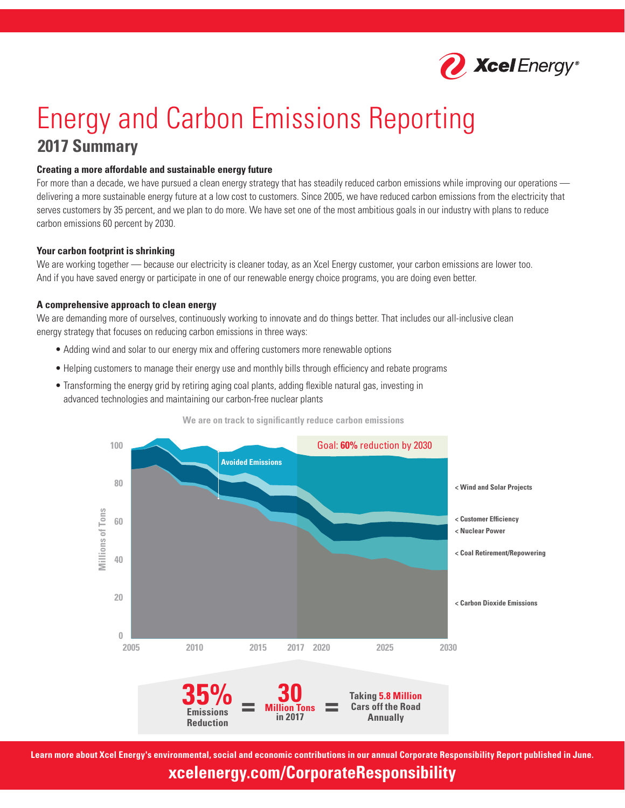

# Energy and Carbon Emissions Reporting **2017 Summary**

#### **Creating a more affordable and sustainable energy future**

For more than a decade, we have pursued a clean energy strategy that has steadily reduced carbon emissions while improving our operations delivering a more sustainable energy future at a low cost to customers. Since 2005, we have reduced carbon emissions from the electricity that serves customers by 35 percent, and we plan to do more. We have set one of the most ambitious goals in our industry with plans to reduce carbon emissions 60 percent by 2030.

#### **Your carbon footprint is shrinking**

We are working together — because our electricity is cleaner today, as an Xcel Energy customer, your carbon emissions are lower too. And if you have saved energy or participate in one of our renewable energy choice programs, you are doing even better.

#### **A comprehensive approach to clean energy**

We are demanding more of ourselves, continuously working to innovate and do things better. That includes our all-inclusive clean energy strategy that focuses on reducing carbon emissions in three ways:

- Adding wind and solar to our energy mix and offering customers more renewable options
- Helping customers to manage their energy use and monthly bills through efficiency and rebate programs
- Transforming the energy grid by retiring aging coal plants, adding flexible natural gas, investing in advanced technologies and maintaining our carbon-free nuclear plants





**Learn more about Xcel Energy's environmental, social and economic contributions in our annual Corporate Responsibility Report published in June.**

**xcelenergy.com/CorporateResponsibility**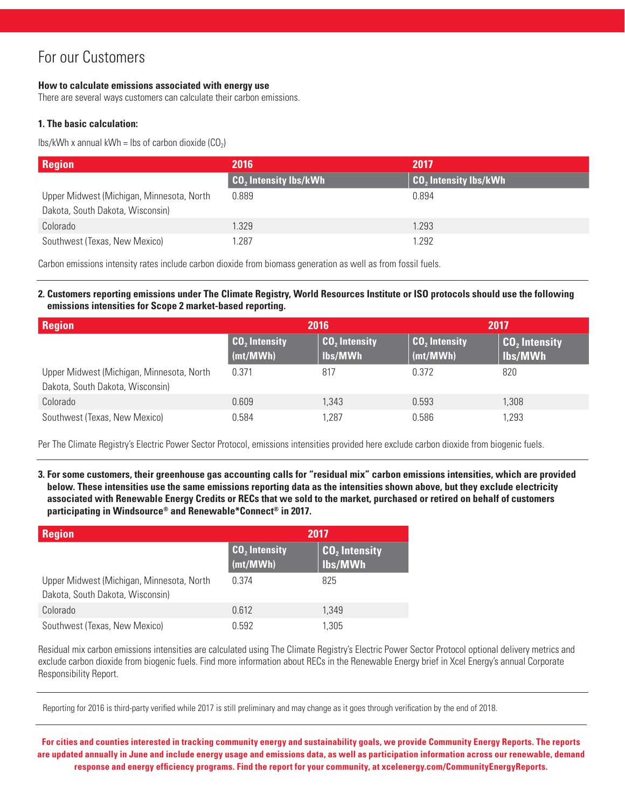### For our Customers

#### **How to calculate emissions associated with energy use**

There are several ways customers can calculate their carbon emissions.

### **1. The basic calculation:**

lbs/kWh x annual kWh = lbs of carbon dioxide  $(CO_2)$ 

| <b>Region</b>                                                                 | 2016                                    | 2017                    |
|-------------------------------------------------------------------------------|-----------------------------------------|-------------------------|
|                                                                               | <b>CO<sub>2</sub></b> Intensity lbs/kWh | $CO2$ Intensity Ibs/kWh |
| Upper Midwest (Michigan, Minnesota, North<br>Dakota, South Dakota, Wisconsin) | 0.889                                   | 0.894                   |
| Colorado                                                                      | 1.329                                   | 1.293                   |
| Southwest (Texas, New Mexico)                                                 | .287                                    | 1.292                   |

Carbon emissions intensity rates include carbon dioxide from biomass generation as well as from fossil fuels.

#### **2. Customers reporting emissions under The Climate Registry, World Resources Institute or ISO protocols should use the following emissions intensities for Scope 2 market-based reporting.**

| <b>Region</b>                                                                 | 2016                                          |                            | 2017                        |                                      |
|-------------------------------------------------------------------------------|-----------------------------------------------|----------------------------|-----------------------------|--------------------------------------|
|                                                                               | $\vert$ CO <sub>2</sub> Intensity<br>(mt/MWh) | $CO2$ Intensity<br>lbs/MWh | $CO2$ Intensity<br>(mt/WWW) | CO <sub>2</sub> Intensity<br>lbs/MWh |
| Upper Midwest (Michigan, Minnesota, North<br>Dakota, South Dakota, Wisconsin) | 0.371                                         | 817                        | 0.372                       | 820                                  |
| Colorado                                                                      | 0.609                                         | 1,343                      | 0.593                       | 1,308                                |
| Southwest (Texas, New Mexico)                                                 | 0.584                                         | 1.287                      | 0.586                       | 1,293                                |

Per The Climate Registry's Electric Power Sector Protocol, emissions intensities provided here exclude carbon dioxide from biogenic fuels.

**3. For some customers, their greenhouse gas accounting calls for "residual mix" carbon emissions intensities, which are provided below. These intensities use the same emissions reporting data as the intensities shown above, but they exclude electricity associated with Renewable Energy Credits or RECs that we sold to the market, purchased or retired on behalf of customers participating in Windsource® and Renewable\*Connect® in 2017.**

| <b>Region</b>                                                                 | 2017                        |                            |  |
|-------------------------------------------------------------------------------|-----------------------------|----------------------------|--|
|                                                                               | $CO2$ Intensity<br>(mt/MWh) | $CO2$ Intensity<br>lbs/MWh |  |
| Upper Midwest (Michigan, Minnesota, North<br>Dakota, South Dakota, Wisconsin) | 0.374                       | 825                        |  |
| Colorado                                                                      | 0.612                       | 1.349                      |  |
| Southwest (Texas, New Mexico)                                                 | 0.592                       | 1.305                      |  |

Residual mix carbon emissions intensities are calculated using The Climate Registry's Electric Power Sector Protocol optional delivery metrics and exclude carbon dioxide from biogenic fuels. Find more information about RECs in the Renewable Energy brief in Xcel Energy's annual Corporate Responsibility Report.

Reporting for 2016 is third-party verified while 2017 is still preliminary and may change as it goes through verification by the end of 2018.

**For cities and counties interested in tracking community energy and sustainability goals, we provide Community Energy Reports. The reports are updated annually in June and include energy usage and emissions data, as well as participation information across our renewable, demand response and energy efficiency programs. Find the report for your community, at xcelenergy.com/CommunityEnergyReports.**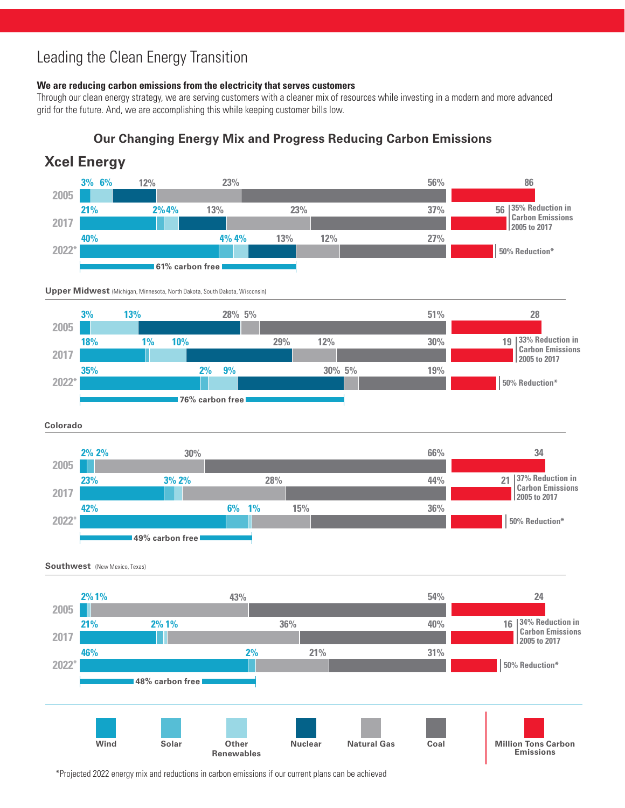#### <u>n ine</u> i Leading the Clean Energy Transition

**40%**

#### **We are reducing carbon emissions from the electricity that serves customers**

**4% 4%**

grid for the future. And, we are accomplishing this while keeping customer bills low. **3% 6% 12% 23% 56% 86** Through our clean energy strategy, we are serving customers with a cleaner mix of resources while investing in a modern and more advanced

**13%**

**12%**

**27%**

**Carbon Emissions** 

### **XCEL ENERGY Our Changing Energy Mix and Progress Reducing Carbon Emissions**

![](_page_2_Figure_4.jpeg)

**2005** \*Projected 2022 energy mix and reductions in carbon emissions if our current plans can be achieved